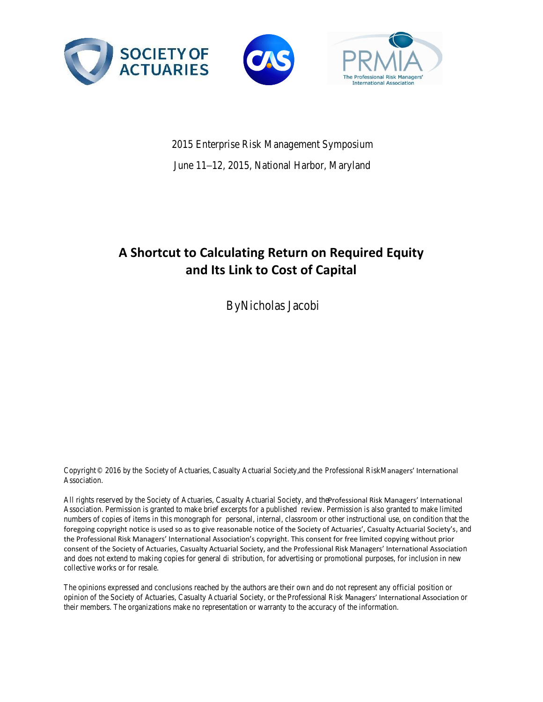### **A Shortcut to Calculating Return on Required Equity and Its Link to Cost of Capital**

Nicholas Jacobi

#### **Abstract**

 $\overline{a}$ 

An insurance product's return on required equity demonstrates how successfully its results are covering the company's basic capital. Using some simplified assumptions, it is possible to calculate this return ratio and decompose it without a full projection of liabilities. Based on the relationship between the return on required equity and the risk-based capital target, an optimal company RBClevel calculation is possible and the corresponding cost of capital can be calculated.

### **1. Introduction**

Return on required equity (RORE) is the ratio of post-tax adjusted operating income to required equity as measured on the Generally Accepted Accounting Principles (GAAP) basis. Adjusted operating income measures the core profitability of the business. Required equity combines risk-based capital and statutory versus GAAP reserve differences representing the total amount of equity you would like to hold on the GAAP balance sheet. Working out the ratio at a business, block or case level can be difficult but, with some simplifying assumptions, it can be closely estimated and decomposed into other profit metrics.

The rest of this paper explores the shortcut method and its implications, and addresses the practical calculation and relation to other risk metrics. This method is ideal for pricing exercises on FAS  $60<sup>1</sup>$  products, allowing the calculation of a product's return that is comparable to a hurdle rate.

<sup>&</sup>lt;sup>1</sup> Financial Accounting Standards Board, "Financial Accounting Standards No. 60: Accounting and Reporting by Insurance Companies" (June 1982).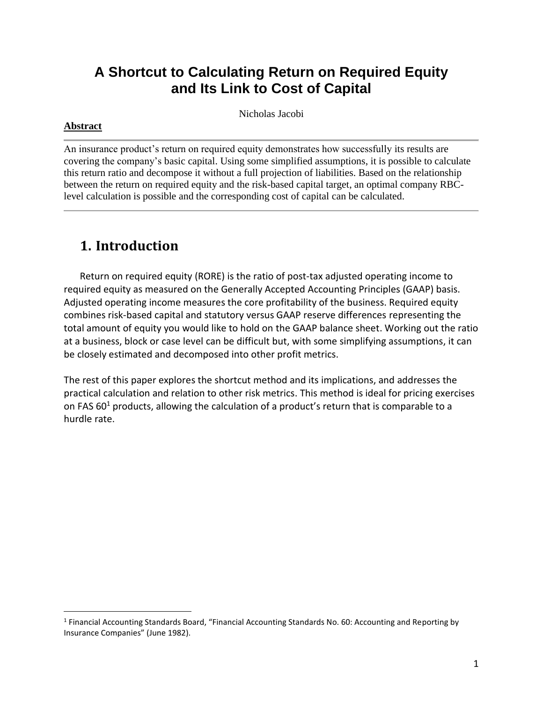## **2. The RORE Shortcut Method**

Consider a block of business of sufficient credibility. The reserving process is designed to either set aside the exact amount of premium necessary to pay benefits or to account for movements in deposit accounts of policyholders. Let a target loss ratio metric represent this concept via the removal of expenses and profit from the full percentage allocation of premium.

Target Loss Ratio (TLR) =  $1$  – Profit Margin

TLR is a meant to represent a pricing metric set at the start of the product's life cycle. At the time of calculation, the GAAP reserve is the best estimate allocation of premium needed to cover claims or record deposits over the lifetime of the block.

GAAP Reserve  $(G)$  = Premium  $(P)$  x TLR

The statutory reserve can be viewed as a factor of the GAAP reserve using more conservative assumptions. A study of the average ratio between the two reserves or a heuristic approach is sufficient to define the more conservative statutory reserve in terms of the GAAP reserve.

> Statutory Reserve  $(S) = N x GAP$  Reserve  $(G)$ , Where  $N > 1$

For this shortcut method, we are setting a constant N based on the average difference between GAAP and statutory reserves over the life of the product. In theory, every reserve dollar saved will be spent on benefits or paid out in annuity payments, thus, over the lifetime of the block, total payments will equal the reserve, G, we just defined.

Total Benefits  $(B) = GAP$  Reserve  $(G) =$  Premiums  $(P)$  x TLR

There are several studied numbers needed to complete the calculation:

- 1. The equivalent **Ci factors** used to compute the block's risk-based capital (RBC) calculation. These factors are applied to premium or statutory reserve balances. For example, to cover the C2 risk, a company might need to hold 6 percent of premium and 2 percent of statutory reserves.
- 2. A measure of the **covariance** among the Ci factors. To continue the example, the summation of the C1–C4 factors might be 30 percent of premium and 10 percent of reserves, but the factors could have a 20 percent covariance between each other, a covariance factor of 80 percent.
- 3. The **target RBC percentage** (RBC %). This is an enterprise-level business decision to hold a given premium over the minimum RBC capital needed for solvency. For instance, a company may decide to maintain a 400 percent RBC ratio to target a specific credit rating on its debt.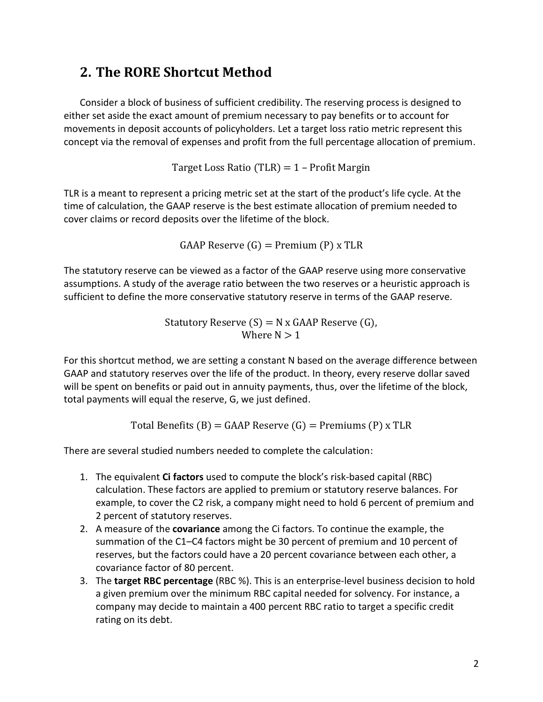4. **Valuation capital**. This is the percentage difference between statutory and GAAP reserves that will have to be held as capital. For example, if the corporate tax rate is 35 percent and the specific products only obligation to hold extra capital above its RBC level is to fund the deferred tax asset, then the total amount of valuation capital is 35% x (statutory – GAAP reserves). Depending on the accounting treatment, this capital is held against the reserve differences, deferred acquisition cost (DAC) amortization or deferred tax asset, and sometimes all three.

The idea of the process is to write the numerator and denominator of RORE, post-tax adjusted operating income (AOI) and required equity respectively, in terms of their percentage of GAAP reserve, then when taking the ratio all GAAP reserves will cancel out, leaving a RORE defined purely in terms of the pricing, RBC and valuation ratios.

The working equation for RORE, on a present value basis, is

 $RORE =$ Post-Tax Adjusted Operating Income (AOI) Required Equity

Note that the numerator is dependent on the denominator, as part of AOI is the investment return on required equity. Due to this dependency, the equations below first expand required equity, writing everything in terms of the GAAP reserve.

Required Equity = RBC Capital 
$$
+
$$
 Valuation Capital

This can be expanded to

$$
Equity = \left(\sum_{i=1 \text{ to } 4} Cp_i P + \sum_{i=1 \text{ to } 4} Cr_i \, \text{STAT Reserve}\right) \text{(Target RBC)} \text{(Covariance)} + X\% \text{(STAT Reserve} - \text{GAAP Reserve)}
$$

After substituting the relationships from the first paragraphs of this section, every term can be related to the GAAP reserve, which is then factored out

$$
Equity = \text{GAP Reserve } \left[ \left( \sum C p_i \frac{1}{TLR} + \sum C r_i N \right) \left( \text{Target RBC} \right) \left( \text{Covariance} \right) + X\% (N-1) \right]
$$

Let the first term in the second factor generically be called the **RBC capital ratio**. This simplifies the result to

$$
GAAP Reserve [RBC Capital Ratio + X\%(N-1)]
$$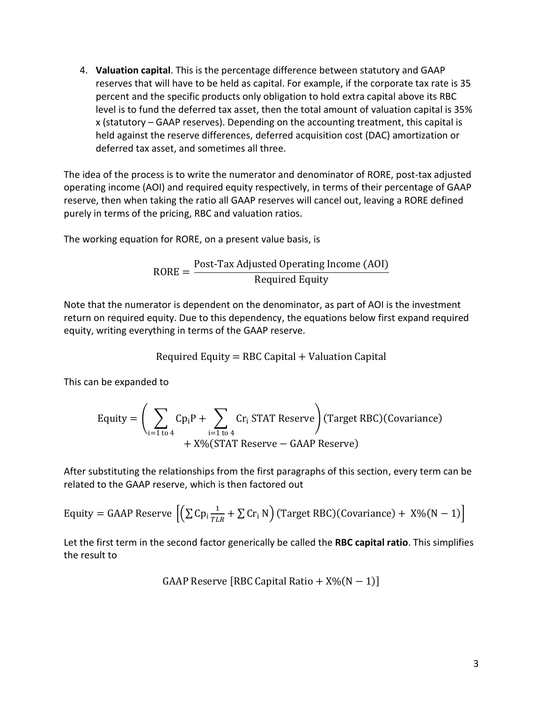The X% represents the difference between GAAP and STAT reserves that must be held on the GAAP balance sheet based on the product's accounting rules. The sum of the RBC capital and the X% of the STAT/GAAP difference represents the GAAP equity associated with the product.

Proceeding further, the adjusted operating income numerator can be written in terms of the GAAP reserve as well.

AOI = Premium-Benefits − Expenses + Net Investment Income

$$
AOI = GAAP Reserve \left[ \frac{1}{TLR} - 1 - \frac{Express Margin}{TLR} + I_1 + I_2(Equity) \right]
$$

Where the **expense margin** is the sales, general and administration (SG&A) expenses as a percent of premium, **I1** is the rate of return on GAAP reserves and **I2** is the rate on required equity. This formula is assuming the sum of GAAP reserve changes over the life of the product at the time of calculation is 0 but that we are crediting the interest on those reserves to AOI.

When calculating RORE as the ratio of the post-tax AOI to required capital, the GAAP reserves now cancel out, leaving an estimate based completely on the pricing ratios, capital targets and tax rate.

RORE = 
$$
\frac{\left(\frac{1}{TLR}-1\right)-\frac{\text{Expense Margin}}{TLR}+I_1+I_2 \text{ [RBC Capital Ratio + X% (N-1)]}}{\text{RBC Capital Ratio + X% (N-1)}}(1-\text{Tax Rate})
$$
(1)

Equation 1 above has a number of important features that describe the business:

- RORE is defined solely in terms of the business ratios targeted by the company without reference to volume.
- The number of factors used in the calculation is minimal, requiring the TLR, expense margin, expected returns on GAAP reserves and required equity, and RBC target, with the X% factor, N factor, C factors and covariance the result of straightforward studies.
- There is a feedback component in that increases in required equity also increase AOI in the numerator, dampening the impact of equity increases.
- AOI is a GAAP-based reporting metric of income statement earnings while required equity is a balance sheet quantity calculated using statutory principles and adjusted to a GAAP basis. Hence the AOI is a cumulative sum over a quarter, year, etc., while the required equity is an average of the balance sheet quantity over the corresponding period of time.
- The first term in the numerator is the underwriting gain priced into the business, company or product. For example, if a product is sold for a \$100 premium with a target loss ratio of 90 percent, there is an expectation to retain \$10. Given a GAAP reserve of \$90, we can anticipate the same \$10 retained by evaluating the formula: 90(1/90% − 1)  $= $10.$
- The second term evaluates to the full expense margin of the product or business. We can expand the example above to show that if the TLR was 90 percent and expense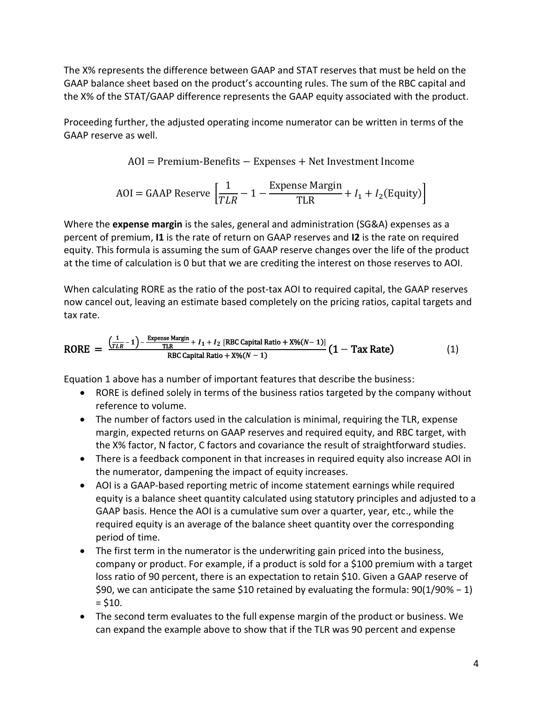margin 5 percent, the total retention would be 15 percent, and that on \$100 of premium, the expense margin is evaluated to 90(5%/90%) = \$5 as predicted by the 5 percent margin assumption.

 The third term in the numerator equates to the net investment income expected to be generated, with an adjustment due to the equity ratio.

Based on the points above, the formula can be written in a more business conscious way:

### $RORE = \frac{Post\text{-}Tax\text{ Underwriting Margin} + \text{Expense\text{ Margin}} + \text{Net\text{ Investment Income}}}{(P) + \text{Net\text{Current Income}} + \text{Net\text{Interest}}$ Equity

In this form, a profit margin is not explicitly stated. It is assumed to be included in the target loss ratio but it can be embedded in the expense assumptions or listed separately without loss of generality.

As an example of this formula in action, we can consider a company that is setting new business sales policy and is attempting to determine the optimal TLR for new business pricing purposes for several product lines. Based on the latest valuation data, estimates on the N, X%, RBC and expense factors are given with the current TLR estimates representing actual pricing policy. Holding a common return of 3% on GAAP reserves and 4% on equity with a 35% tax rate, the current ROREs are comparable to produce hurdle rates.

|                         |      |     |       | <b>RBC Factors</b> |              |        |     |     |             |        |
|-------------------------|------|-----|-------|--------------------|--------------|--------|-----|-----|-------------|--------|
|                         |      |     | Exp   |                    |              |        |     |     |             | Hurdle |
| Sale of                 | N    | Х%  | Ratio | $\Sigma$ Ci(p)     | $\sum$ Ci(r) | Target | Cov | TLR | <b>RORE</b> | Rate   |
| <b>Traditional Life</b> | 103% | 35% | 16%   | 9%                 | 5%           | 400%   | 90% | 85% | 5%          | 5%     |
| Disability              | 101% | 20% | 11%   | 5%                 | 4%           | 450%   | 80% | 90% | 6%          | 10%    |
| Dental                  | 100% | 10% | 30%   | 10%                | 8%           | 250%   | 85% | 75% | $-3%$       | 8%     |
| Long-Term Care          | 104% | 25% | 19%   | 9%                 | 12%          | 300%   | 75% | 80% | 8%          | 5%     |
| Health                  | 102% | 15% | 14%   | 3%                 | 4%           | 350%   | 70% | 85% | 17%         | 12%    |

The illustration suggests that TLRs should be dropped for the disability and dental lines but could be increased for long-term care and health.

The remaining sections will discuss the implications and usages of this relationship in reference to total company value.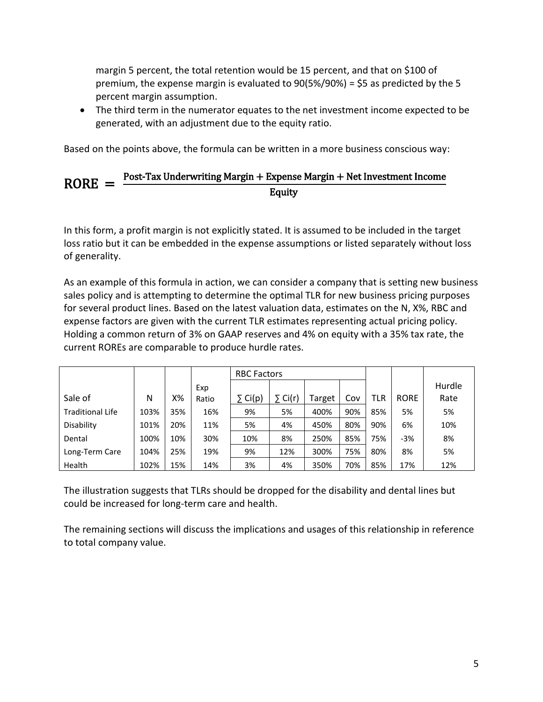# **3. RORE Optimization and Cost of Capital**

While RORE can be calculated at a case or policy level, product or reporting group level, it is useful in determination of company value through calculation at the highest level.

When calculated for an entire company, the evident question is this: Which of the dependent ratios, TLR, expenses, interest, etc., is most controllable at a senior executive level?

**Target loss ratio**: Although TLR is controllable at the highest company level in theory, actual pricing policy is often set by high competitive pressure and internal expertise at all levels of the company and can be difficult to change in practice. Achieving a different TLR also has a drastic impact on AOI, leading to high earnings volatility and RORE fluctuations.



**Expense margin**: Increases in expense margins are often seen as temporary investments while expense cuts are deemed permanent targets. Indeed, the equation shows that RORE is positively correlated to expense margin as it has a direct impact on AOI.



**Investment returns**: Both the return on GAAP reserves and required equity are difficult to change as insurers work under restricted investment conditions and regulatory pressure. In addition, these returns are usually shared with the policyholders in some way. Increases in investment income are usually parlayed into better pricing and market share components.

**The X%, N and RBC covariance factors**: These factors are largely prescribed or derived from prescribed calculations and are difficult to change.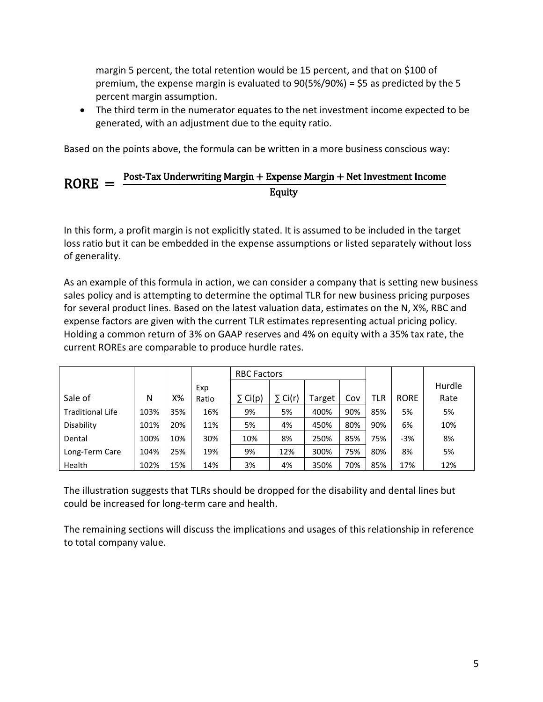**Tax rate**: Corporate tax rates are largely out of a company's control, but it is worth noting that the effective tax rate can be managed in varying ways. The assumption is that RORE will be calculated at the corporate rate and is not a changeable quantity.

**Target RBC ratio**: Of all the relevant factors, this is the most relevant to debate. Although under external pressure for increases from rating agencies and decreases from investors, there is a business decision on what ratio should be targeted at a company and often business unit level.

As the target RBC ratio increases, the equity will increase, putting pressure on the RORE, but since the numerator and denominator of the RBC ratio are both impacted by the target RBC ratio, there is feedback created that dampens the decrease in RORE as equity rises, as an example below with a common set of ratios demonstrates.



There is a balancing act that must be performed when setting the RBC target. Investors don't want a company that hordes capital to achieve an AAA rating when they could be paying them dividends and have a comfortable AA rating, hence there is pressure to lower the target. On the other hand, regulators and rating agencies want as high a target as possible for solvency and credit rating's sake, not to mention that if similar companies raise or lower their target, there is pressure to maintain the same level as the competition.

Movements in RORE are hyperbolic in relation to the RBC target because the equation shows that any target change will fully impact the denominator but only partially impact the denominator to the extent that investment income is earned on the required equity and added to adjusted operating income.

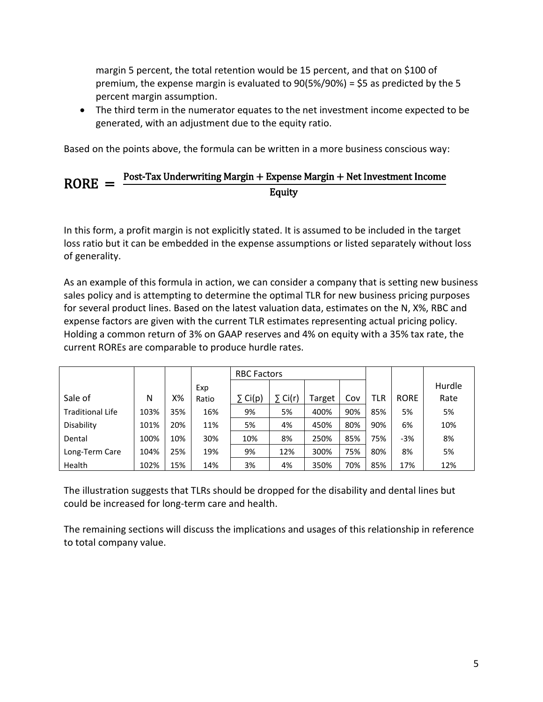At which point is the tradeoff between RORE and target RBC best balanced? The shape of the RORE curve suggests two things.

1. There is an ultimate level of RORE that can be achieved as the target is increased. This is evident when the domain of our sample calculation is expanded.



2. Since the RORE decrease is large when the target is increased above 100 percent and small when the target is large, there must be a point of inflection, where the tangent line to the curve has a slope of −1.



At this point of inflection, any decrease in the RBC target will lead to a larger increase in RORE than at higher target levels, due to a larger drop in equity than in AOI—and any increase in target levels will cause a lower decrease in the RORE than all points at previous target levels, indicating this point is the best balance between the forces pushing the RBC target up and down.

Since a company's cost of capital represents the hurdle rate the company must overcome before it can generate value and the interest rate that a company can borrow at is linked to its RBC ratio, there must be a connection between RORE and cost of capital.

A table mapping corporate debt rating to RBC level is an intermediate step to forming the link between RORE and cost of capital. This assumption of debt cost as a function of the RBC target set is key. Since we assume the company sets RBC targets to optimize RORE, the cost of capital is the sum of the debt cost plus equity cost of its financing activities.

Weighted Average Cost of Capital =  
\n
$$
\frac{D}{V}
$$
 × f(RBC Target) × (1 - Corporate Tax Rate) +  $\frac{E}{V}$  × Equity Cost,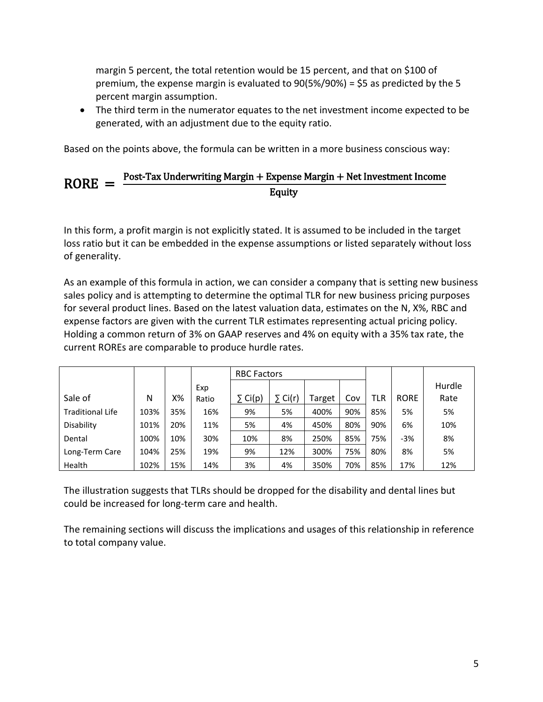where D/V is the percentage of the firm financed by debt and E/V is the percentage financed by equity.

For an example of this, if we associate credit ratings with debt costs as follows, a company can create a menu of costs of capital as determined by RORE and the underlying target RBC ratio.

| <b>RBC Band</b> | <b>Credit Rating Debt Cost</b> |      |
|-----------------|--------------------------------|------|
| 500-600%        | AAA                            | 1.5% |
| 400-500%        | AA                             | 2.0% |
| 300-400%        | BBB-A                          | 3.0% |
| 200-300%        | B-BB                           | 3.5% |
| 100-200%        | C                              | 4.0% |

For example, if the following company has an equity cost of 10 percent and a debt percentage of 60 percent, then the potential costs of capital per RORE and RBC target are seen below.

| <b>Target</b><br><b>RBC</b> | <b>RORE</b> | <b>Debt</b><br>Cost | COC  |
|-----------------------------|-------------|---------------------|------|
| 100%                        | 45%         | 4.0%                | 5.6% |
| 200%                        | 25%         | 3.5%                | 5.4% |
| 300%                        | 18%         | 3.0%                | 5.2% |
| 400%                        | 14%         | 2.0%                | 4.8% |
| 500%                        | 12%         | 1.0%                | 4.4% |

Given an RBC target, as determined by the need to optimize RORE, we can then derive the company's cost of capital.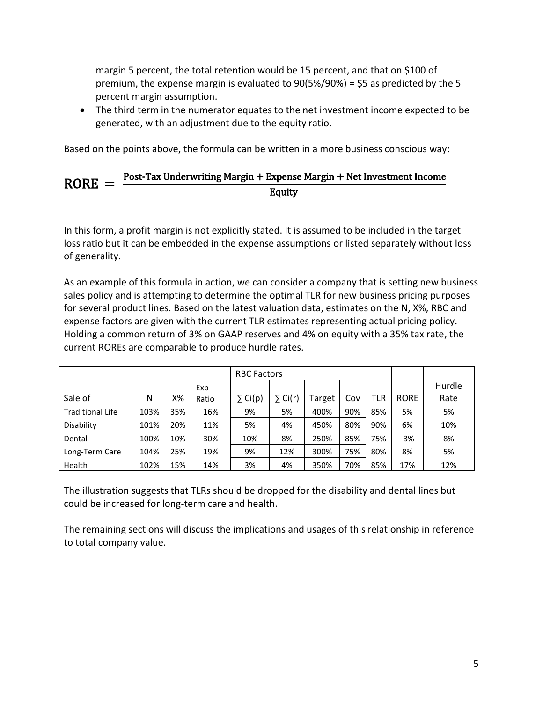### **4. RORE Decomposition**

Because the RORE metric has a clearly defined numerator and denominator connected to the financial statements, it is possible to decompose it several ways.

#### **Two-Factor Decomposition**

By interposing premium as the factor, we can decompose RORE into two components, gross margin and equity ratio:

> $RORE =$ Post-Tax AOI  $\frac{R \cdot \tan 110R}{(2 \cdot 10^{10})}$  = Post-Tax AOI  $\frac{1}{2}$  × Premium Equity

> > $=$  Gross Margin  $\times$  Equity Ratio

For a given product or company, the equity ratio is related to duration and is often managed to maintain little volatility at this level. Therefore a RORE ratio is highly correlated to a product's gross margin, which is a measure of the operating efficiency of the company or product.

#### **Three-Factor Decomposition**

We can additionally interpose assets as a factor in the decomposition:

 $RORE =$ Post-Tax AOI  $\frac{F}{E$ quity  $=$ Post-Tax AOI  $\frac{1}{2}$  × Premium Assets × Assets Equity

 $=$  Gross Profit Margin  $\times$  Asset Turnover Ratio  $\times$  Equity Multiplier

This is analogous to a classical DuPont analysis, with the gross margin representing operational efficiency, the premium-to-assets ratio representing the asset turnover ratio and assets-toequity ratio as the leverage in the balance sheet.

The goal is to, over time, track what is really changing in the company or product being analyzed beyond the overall changes in the ratio. It is possible to have higher gross margins but lower asset turnover to the extent that they cancel out and don't impact the overall RORE ratio, for instance.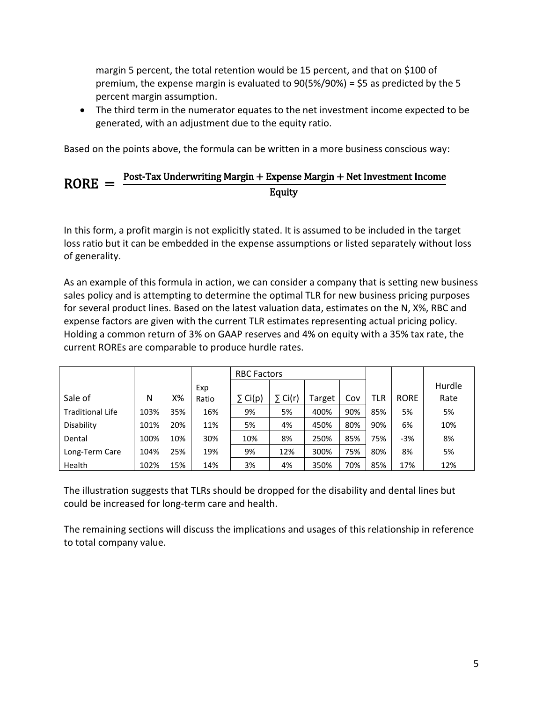# **5. Practical RORE Calculation**

The shortcut method above is a view of the particular product, case or company as of the time of calculation, assuming that current and future premiums will perfectly fund future liabilities. In reality, there can be reserve deficiencies in the aggregate or path-wise combined with the effects of rate increases and lapsation.

A detailed calculation of RORE requires

- Projecting lifetime premium, retention and expense factors to arrive at lifetime cash flows
- Performing a full reserve calculation on a GAAP and statutory basis
- Calculating the path-wise RBC and subsequent required equity at each point in time based on the premium and reserve projections
- Adding return on equity to cash flows in step 1 and removing corporate taxes
- Discounting the projected AOI and the average required equity back to time zero at a relevant hurdle rate and taking the quotient to arrive at the RORE

Note that since required equity is a balance sheet concept, it is necessary to calculate its value at the endpoints of the calculation's granularity. For instance, calculate required equity at the beginning and end of each month, take the average of the two to form the monthly average required equity then discount to time zero using a monthly rate of interest.

Also note that changes in GAAP reserves are a component of the AOI calculation in this version. The shortcut method considers the fully discounted GAAP reserve at time zero, at which all reserve changes over time sum to zero.

RORE is actually a species of internal rate of return (IRR) calculation using purely GAAP-based measurements for AOI and equity. One advantage of this is that this calculation is done in such a way as to eliminate erroneous IRR results due to repeated changes in the sign of the cash flows.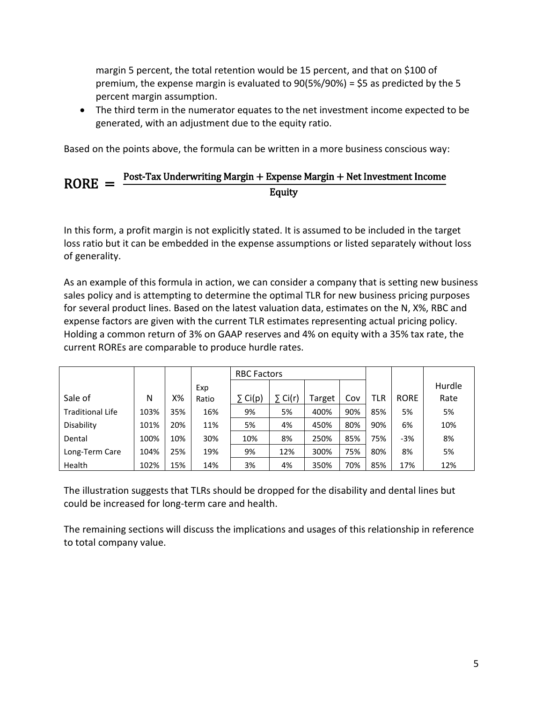## **6. Relationship to Parallel Risk Measures**

Required equity is built to satisfy the question of whether or not a company has enough capital on hand to satisfy rating agencies. It has the great advantage of simplicity in its calculation and utility in its applications; however, it only satisfies the need to measure basic risk at a single point in time. What about the need to satisfy risk management needs over time and under stress?

Many related metrics are available in relation to RORE, several of which are described below.

#### **Stressed Regulatory Capital (SRC)**

Will a company be able to keep its doors open during a crisis? Stressed capital is an addition to the required equity, which is a point estimate, which adds enough capital to cover short-term tail shocks that impact regulatory capital.

While RORE, IRR and stressed regulatory capital defined capital needs at a point in time, companies further build on them to produce capital estimates for long-term needs.

#### **Risk-Adjusted Capital (RAC)**

Will a company be able to pay claims over the long term? Risk-adjusted capital is calculated as a means to answer this question by defining a ratio of a company's total adjusted capital (TAC) that accounts for external and internal shocks which can impact the company's total value. It gauges company survival under various worst-case scenarios.

A company's TAC is derived from the GAAP balance sheet, typically by starting with shareholder's equity and removing items external to the core business, for example, dividends, good will, tax loss carry forwards, etc. Subsequent testing creates projected future balance sheets under stress scenarios to determine movements in the TAC and a measure of additional capital that must be held based on the calculation standard used.

There are many variations to the calculation structure; some companies chose **value at risk (VAR)**, others use an **economic capital (EC)** standard or other metric.

#### **Return on Risk-Adjusted Capital (RAROC)**

While RORE is a based on AOI, RAROC is a parallel metric using RAC as the denominator. The numerator of the RAROC calculation is the risk-adjusted operating income (RAOI) and is based on AOI but adjusted for expected credit losses and given a capital adjustment due to retaining interest on the new RAC denominator.